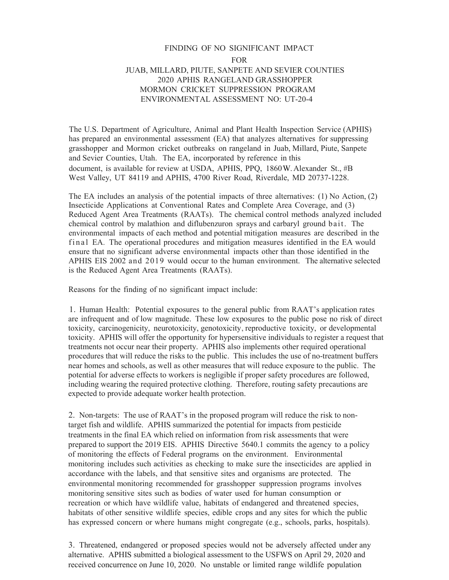## FINDING OF NO SIGNIFICANT IMPACT FOR JUAB, MILLARD, PIUTE, SANPETE AND SEVIER COUNTIES 2020 APHIS RANGELAND GRASSHOPPER MORMON CRICKET SUPPRESSION PROGRAM ENVIRONMENTAL ASSESSMENT NO: UT-20-4

The U.S. Department of Agriculture, Animal and Plant Health Inspection Service (APHIS) has prepared an environmental assessment (EA) that analyzes alternatives for suppressing grasshopper and Mormon cricket outbreaks on rangeland in Juab, Millard, Piute, Sanpete and Sevier Counties, Utah. The EA, incorporated by reference in this document, is available for review at USDA, APHIS, PPQ, 1860W. Alexander St., #B West Valley, UT 84119 and APHIS, 4700 River Road, Riverdale, MD 20737-1228.

The EA includes an analysis of the potential impacts of three alternatives: (1) No Action, (2) Insecticide Applications at Conventional Rates and Complete Area Coverage, and (3) Reduced Agent Area Treatments (RAATs). The chemical control methods analyzed included chemical control by malathion and diflubenzuron sprays and carbaryl ground bait. The environmental impacts of each method and potential mitigation measures are described in the final EA. The operational procedures and mitigation measures identified in the EA would ensure that no significant adverse environmental impacts other than those identified in the APHIS EIS 2002 and 2019 would occur to the human environment. The alternative selected is the Reduced Agent Area Treatments (RAATs).

Reasons for the finding of no significant impact include:

1. Human Health: Potential exposures to the general public from RAAT's application rates are infrequent and of low magnitude. These low exposures to the public pose no risk of direct toxicity, carcinogenicity, neurotoxicity, genotoxicity, reproductive toxicity, or developmental toxicity. APHIS will offer the opportunity for hypersensitive individuals to register a request that treatments not occur near their property. APHIS also implements other required operational procedures that will reduce the risks to the public. This includes the use of no-treatment buffers near homes and schools, as well as other measures that will reduce exposure to the public. The potential for adverse effects to workers is negligible if proper safety procedures are followed, including wearing the required protective clothing. Therefore, routing safety precautions are expected to provide adequate worker health protection.

2. Non-targets: The use of RAAT's in the proposed program will reduce the risk to nontarget fish and wildlife. APHIS summarized the potential for impacts from pesticide treatments in the final EA which relied on information from risk assessments that were prepared to support the 2019 EIS. APHIS Directive 5640.1 commits the agency to a policy of monitoring the effects of Federal programs on the environment. Environmental monitoring includes such activities as checking to make sure the insecticides are applied in accordance with the labels, and that sensitive sites and organisms are protected. The environmental monitoring recommended for grasshopper suppression programs involves monitoring sensitive sites such as bodies of water used for human consumption or recreation or which have wildlife value, habitats of endangered and threatened species, habitats of other sensitive wildlife species, edible crops and any sites for which the public has expressed concern or where humans might congregate (e.g., schools, parks, hospitals).

3. Threatened, endangered or proposed species would not be adversely affected under any alternative. APHIS submitted a biological assessment to the USFWS on April 29, 2020 and received concurrence on June 10, 2020. No unstable or limited range wildlife population